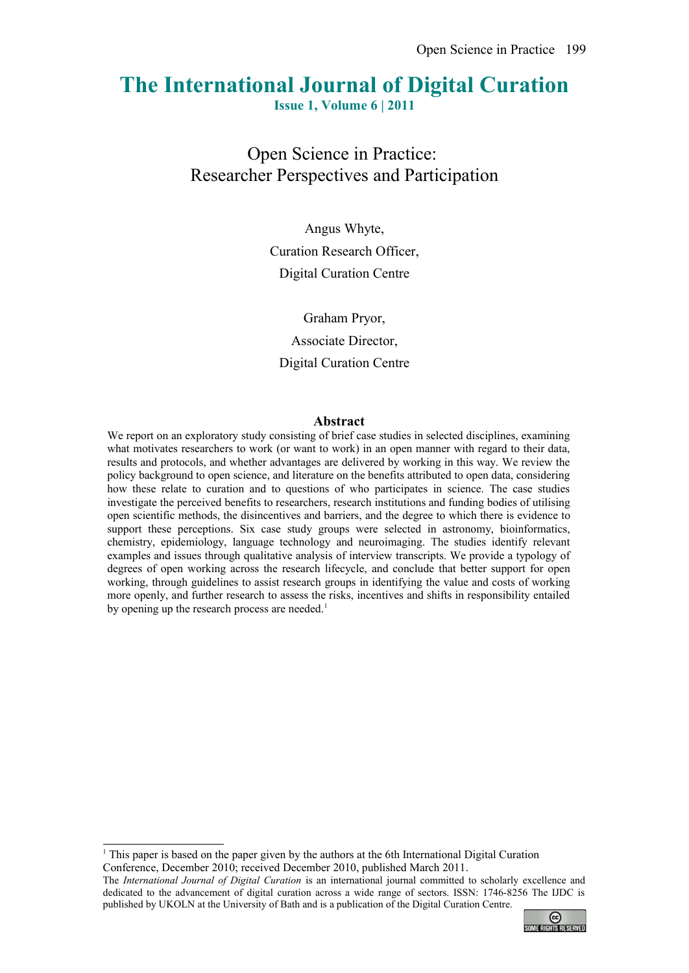# **The International Journal of Digital Curation**

**Issue 1, Volume 6 | 2011**

Open Science in Practice: Researcher Perspectives and Participation

> Angus Whyte, Curation Research Officer, Digital Curation Centre

Graham Pryor, Associate Director, Digital Curation Centre

### **Abstract**

We report on an exploratory study consisting of brief case studies in selected disciplines, examining what motivates researchers to work (or want to work) in an open manner with regard to their data, results and protocols, and whether advantages are delivered by working in this way. We review the policy background to open science, and literature on the benefits attributed to open data, considering how these relate to curation and to questions of who participates in science. The case studies investigate the perceived benefits to researchers, research institutions and funding bodies of utilising open scientific methods, the disincentives and barriers, and the degree to which there is evidence to support these perceptions. Six case study groups were selected in astronomy, bioinformatics, chemistry, epidemiology, language technology and neuroimaging. The studies identify relevant examples and issues through qualitative analysis of interview transcripts. We provide a typology of degrees of open working across the research lifecycle, and conclude that better support for open working, through guidelines to assist research groups in identifying the value and costs of working more openly, and further research to assess the risks, incentives and shifts in responsibility entailed by opening up the research process are needed.<sup>[1](#page-0-0)</sup>

The *International Journal of Digital Curation* is an international journal committed to scholarly excellence and dedicated to the advancement of digital curation across a wide range of sectors. ISSN: 1746-8256 The IJDC is published by UKOLN at the University of Bath and is a publication of the Digital Curation Centre.



<span id="page-0-0"></span><sup>1</sup> This paper is based on the paper given by the authors at the 6th International Digital Curation Conference, December 2010; received December 2010, published March 2011.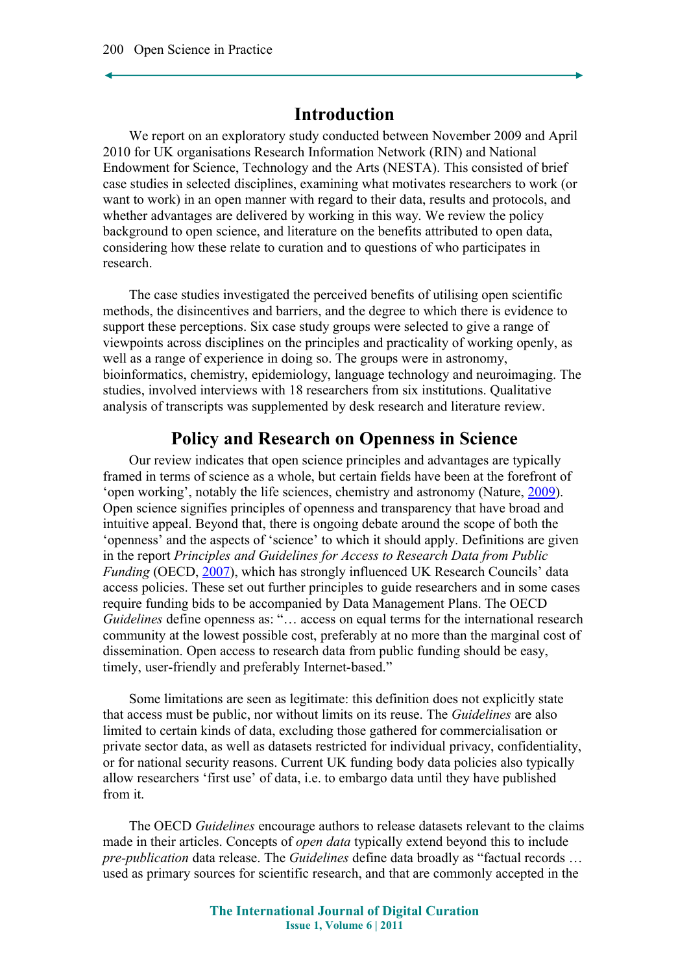## **Introduction**

We report on an exploratory study conducted between November 2009 and April 2010 for UK organisations Research Information Network (RIN) and National Endowment for Science, Technology and the Arts (NESTA). This consisted of brief case studies in selected disciplines, examining what motivates researchers to work (or want to work) in an open manner with regard to their data, results and protocols, and whether advantages are delivered by working in this way. We review the policy background to open science, and literature on the benefits attributed to open data, considering how these relate to curation and to questions of who participates in research.

The case studies investigated the perceived benefits of utilising open scientific methods, the disincentives and barriers, and the degree to which there is evidence to support these perceptions. Six case study groups were selected to give a range of viewpoints across disciplines on the principles and practicality of working openly, as well as a range of experience in doing so. The groups were in astronomy, bioinformatics, chemistry, epidemiology, language technology and neuroimaging. The studies, involved interviews with 18 researchers from six institutions. Qualitative analysis of transcripts was supplemented by desk research and literature review.

## **Policy and Research on Openness in Science**

Our review indicates that open science principles and advantages are typically framed in terms of science as a whole, but certain fields have been at the forefront of 'open working', notably the life sciences, chemistry and astronomy (Nature, [2009\)](#page-13-1). Open science signifies principles of openness and transparency that have broad and intuitive appeal. Beyond that, there is ongoing debate around the scope of both the 'openness' and the aspects of 'science' to which it should apply. Definitions are given in the report *Principles and Guidelines for Access to Research Data from Public Funding* (OECD, [2007\)](#page-13-0), which has strongly influenced UK Research Councils' data access policies. These set out further principles to guide researchers and in some cases require funding bids to be accompanied by Data Management Plans. The OECD *Guidelines* define openness as: "… access on equal terms for the international research community at the lowest possible cost, preferably at no more than the marginal cost of dissemination. Open access to research data from public funding should be easy, timely, user-friendly and preferably Internet-based."

Some limitations are seen as legitimate: this definition does not explicitly state that access must be public, nor without limits on its reuse. The *Guidelines* are also limited to certain kinds of data, excluding those gathered for commercialisation or private sector data, as well as datasets restricted for individual privacy, confidentiality, or for national security reasons. Current UK funding body data policies also typically allow researchers 'first use' of data, i.e. to embargo data until they have published from it.

The OECD *Guidelines* encourage authors to release datasets relevant to the claims made in their articles. Concepts of *open data* typically extend beyond this to include *pre-publication* data release. The *Guidelines* define data broadly as "factual records … used as primary sources for scientific research, and that are commonly accepted in the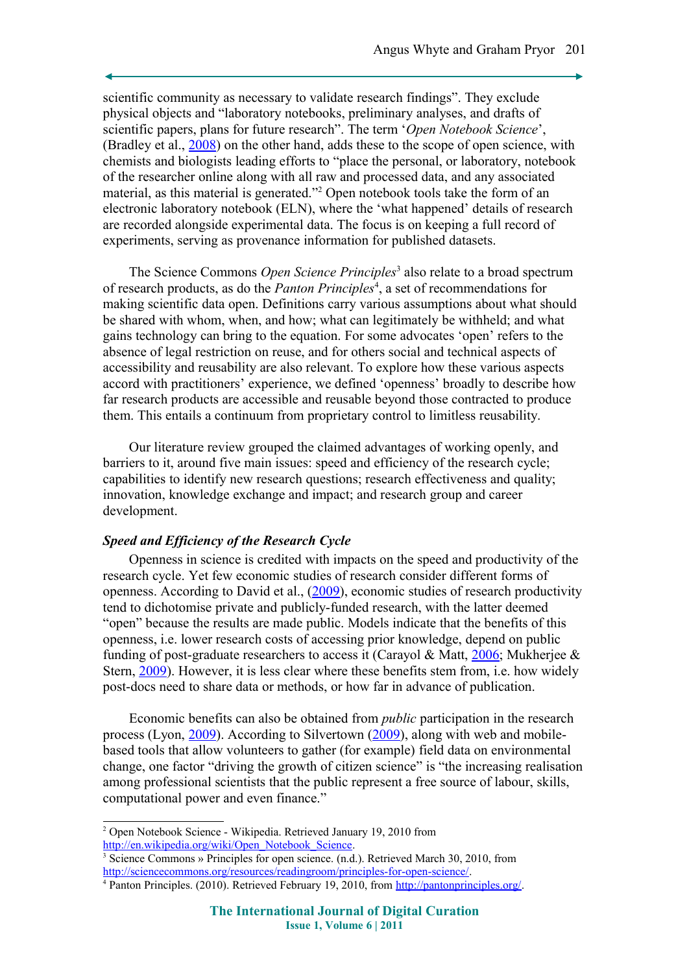scientific community as necessary to validate research findings". They exclude physical objects and "laboratory notebooks, preliminary analyses, and drafts of scientific papers, plans for future research". The term '*Open Notebook Science*', (Bradley et al., [2008\)](#page-11-1) on the other hand, adds these to the scope of open science, with chemists and biologists leading efforts to "place the personal, or laboratory, notebook of the researcher online along with all raw and processed data, and any associated material, as this material is generated."<sup>[2](#page-2-0)</sup> Open notebook tools take the form of an electronic laboratory notebook (ELN), where the 'what happened' details of research are recorded alongside experimental data. The focus is on keeping a full record of experiments, serving as provenance information for published datasets.

The Science Commons *Open Science Principles*<sup>[3](#page-2-1)</sup> also relate to a broad spectrum of research products, as do the *Panton Principles*[4](#page-2-2) , a set of recommendations for making scientific data open. Definitions carry various assumptions about what should be shared with whom, when, and how; what can legitimately be withheld; and what gains technology can bring to the equation. For some advocates 'open' refers to the absence of legal restriction on reuse, and for others social and technical aspects of accessibility and reusability are also relevant. To explore how these various aspects accord with practitioners' experience, we defined 'openness' broadly to describe how far research products are accessible and reusable beyond those contracted to produce them. This entails a continuum from proprietary control to limitless reusability.

Our literature review grouped the claimed advantages of working openly, and barriers to it, around five main issues: speed and efficiency of the research cycle; capabilities to identify new research questions; research effectiveness and quality; innovation, knowledge exchange and impact; and research group and career development.

### *Speed and Efficiency of the Research Cycle*

Openness in science is credited with impacts on the speed and productivity of the research cycle. Yet few economic studies of research consider different forms of openness. According to David et al., [\(2009\)](#page-12-1), economic studies of research productivity tend to dichotomise private and publicly-funded research, with the latter deemed "open" because the results are made public. Models indicate that the benefits of this openness, i.e. lower research costs of accessing prior knowledge, depend on public funding of post-graduate researchers to access it (Carayol & Matt, [2006;](#page-11-0) Mukherjee  $\&$ Stern, [2009\)](#page-13-3). However, it is less clear where these benefits stem from, i.e. how widely post-docs need to share data or methods, or how far in advance of publication.

Economic benefits can also be obtained from *public* participation in the research process (Lyon, [2009\)](#page-12-0). According to Silvertown [\(2009\)](#page-13-2), along with web and mobilebased tools that allow volunteers to gather (for example) field data on environmental change, one factor "driving the growth of citizen science" is "the increasing realisation among professional scientists that the public represent a free source of labour, skills, computational power and even finance."

<span id="page-2-0"></span><sup>2</sup> Open Notebook Science - Wikipedia. Retrieved January 19, 2010 from [http://en.wikipedia.org/wiki/Open\\_Notebook\\_Science.](http://en.wikipedia.org/wiki/Open_Notebook_Science)

<span id="page-2-1"></span><sup>3</sup> Science Commons » Principles for open science. (n.d.). Retrieved March 30, 2010, from [http://sciencecommons.org/resources/readingroom/principles-for-open-science/.](http://sciencecommons.org/resources/readingroom/principles-for-open-science/)

<span id="page-2-2"></span><sup>&</sup>lt;sup>4</sup> Panton Principles. (2010). Retrieved February 19, 2010, from [http://pantonprinciples.org/.](http://pantonprinciples.org/)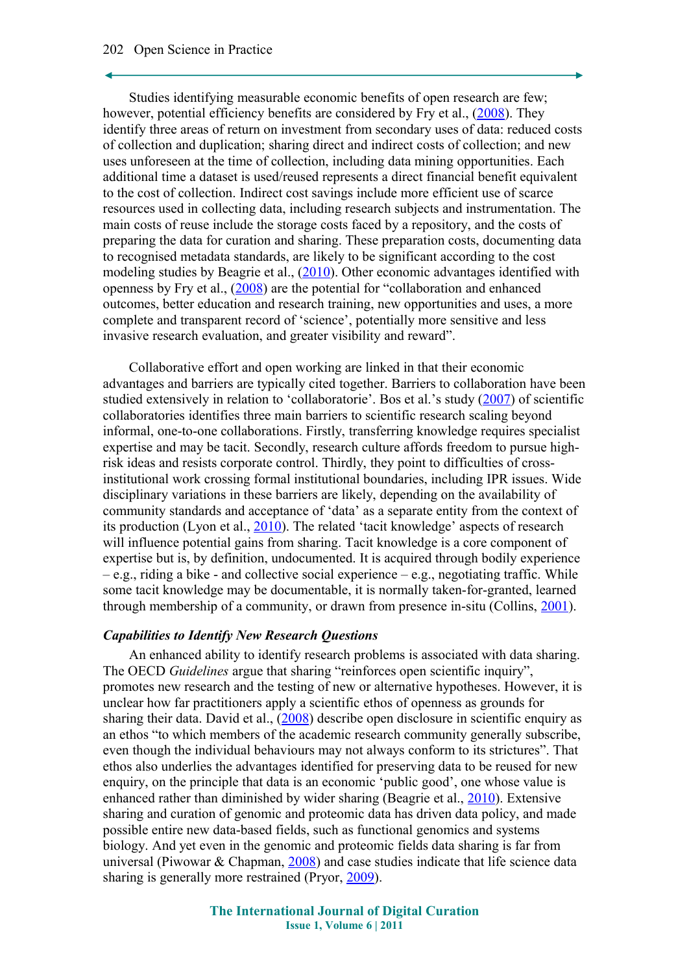### 202 Open Science in Practice

Studies identifying measurable economic benefits of open research are few; however, potential efficiency benefits are considered by Fry et al., [\(2008\)](#page-12-4). They identify three areas of return on investment from secondary uses of data: reduced costs of collection and duplication; sharing direct and indirect costs of collection; and new uses unforeseen at the time of collection, including data mining opportunities. Each additional time a dataset is used/reused represents a direct financial benefit equivalent to the cost of collection. Indirect cost savings include more efficient use of scarce resources used in collecting data, including research subjects and instrumentation. The main costs of reuse include the storage costs faced by a repository, and the costs of preparing the data for curation and sharing. These preparation costs, documenting data to recognised metadata standards, are likely to be significant according to the cost modeling studies by Beagrie et al., [\(2010\)](#page-11-2). Other economic advantages identified with openness by Fry et al., [\(2008\)](#page-12-4) are the potential for "collaboration and enhanced outcomes, better education and research training, new opportunities and uses, a more complete and transparent record of 'science', potentially more sensitive and less invasive research evaluation, and greater visibility and reward".

Collaborative effort and open working are linked in that their economic advantages and barriers are typically cited together. Barriers to collaboration have been studied extensively in relation to 'collaboratorie'. Bos et al.'s study [\(2007\)](#page-11-4) of scientific collaboratories identifies three main barriers to scientific research scaling beyond informal, one-to-one collaborations. Firstly, transferring knowledge requires specialist expertise and may be tacit. Secondly, research culture affords freedom to pursue highrisk ideas and resists corporate control. Thirdly, they point to difficulties of crossinstitutional work crossing formal institutional boundaries, including IPR issues. Wide disciplinary variations in these barriers are likely, depending on the availability of community standards and acceptance of 'data' as a separate entity from the context of its production (Lyon et al., [2010\)](#page-12-3). The related 'tacit knowledge' aspects of research will influence potential gains from sharing. Tacit knowledge is a core component of expertise but is, by definition, undocumented. It is acquired through bodily experience  $-e.g.,$  riding a bike - and collective social experience  $-e.g.,$  negotiating traffic. While some tacit knowledge may be documentable, it is normally taken-for-granted, learned through membership of a community, or drawn from presence in-situ (Collins, [2001\)](#page-11-3).

### *Capabilities to Identify New Research Questions*

An enhanced ability to identify research problems is associated with data sharing. The OECD *Guidelines* argue that sharing "reinforces open scientific inquiry", promotes new research and the testing of new or alternative hypotheses. However, it is unclear how far practitioners apply a scientific ethos of openness as grounds for sharing their data. David et al.,  $(2008)$  describe open disclosure in scientific enquiry as an ethos "to which members of the academic research community generally subscribe, even though the individual behaviours may not always conform to its strictures". That ethos also underlies the advantages identified for preserving data to be reused for new enquiry, on the principle that data is an economic 'public good', one whose value is enhanced rather than diminished by wider sharing (Beagrie et al., [2010\)](#page-11-2). Extensive sharing and curation of genomic and proteomic data has driven data policy, and made possible entire new data-based fields, such as functional genomics and systems biology. And yet even in the genomic and proteomic fields data sharing is far from universal (Piwowar & Chapman, [2008\)](#page-13-5) and case studies indicate that life science data sharing is generally more restrained (Pryor, [2009\)](#page-13-4).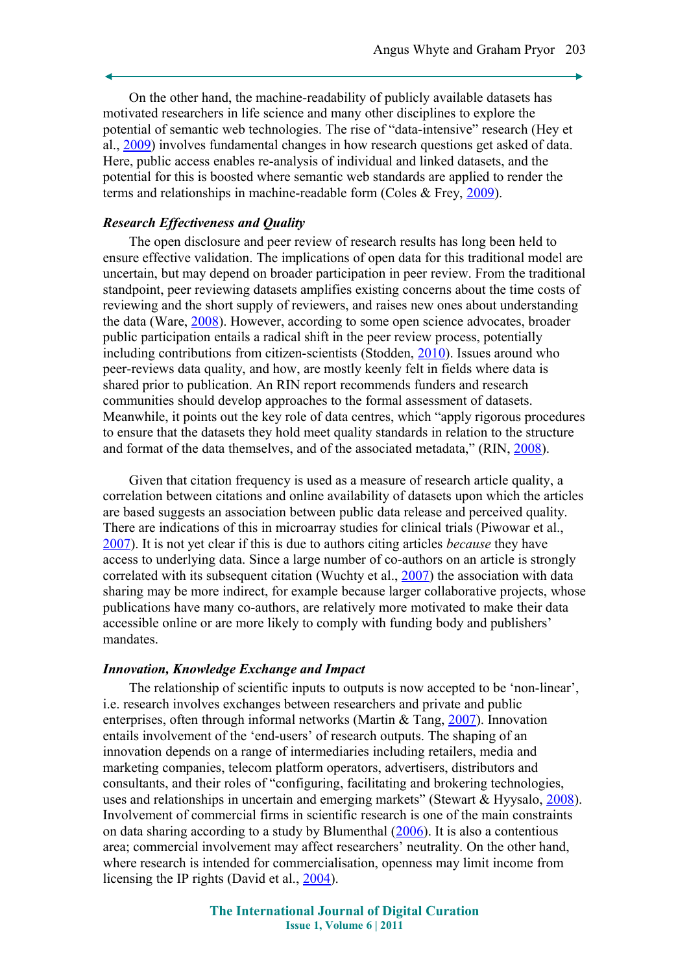On the other hand, the machine-readability of publicly available datasets has motivated researchers in life science and many other disciplines to explore the potential of semantic web technologies. The rise of "data-intensive" research (Hey et al., [2009\)](#page-12-7) involves fundamental changes in how research questions get asked of data. Here, public access enables re-analysis of individual and linked datasets, and the potential for this is boosted where semantic web standards are applied to render the terms and relationships in machine-readable form (Coles & Frey, [2009\)](#page-11-6).

### *Research Effectiveness and Quality*

The open disclosure and peer review of research results has long been held to ensure effective validation. The implications of open data for this traditional model are uncertain, but may depend on broader participation in peer review. From the traditional standpoint, peer reviewing datasets amplifies existing concerns about the time costs of reviewing and the short supply of reviewers, and raises new ones about understanding the data (Ware, [2008\)](#page-14-3). However, according to some open science advocates, broader public participation entails a radical shift in the peer review process, potentially including contributions from citizen-scientists (Stodden, [2010\)](#page-14-2). Issues around who peer-reviews data quality, and how, are mostly keenly felt in fields where data is shared prior to publication. An RIN report recommends funders and research communities should develop approaches to the formal assessment of datasets. Meanwhile, it points out the key role of data centres, which "apply rigorous procedures to ensure that the datasets they hold meet quality standards in relation to the structure and format of the data themselves, and of the associated metadata," (RIN, [2008\)](#page-13-7).

Given that citation frequency is used as a measure of research article quality, a correlation between citations and online availability of datasets upon which the articles are based suggests an association between public data release and perceived quality. There are indications of this in microarray studies for clinical trials (Piwowar et al., [2007\)](#page-13-6). It is not yet clear if this is due to authors citing articles *because* they have access to underlying data. Since a large number of co-authors on an article is strongly correlated with its subsequent citation (Wuchty et al., [2007\)](#page-14-1) the association with data sharing may be more indirect, for example because larger collaborative projects, whose publications have many co-authors, are relatively more motivated to make their data accessible online or are more likely to comply with funding body and publishers' mandates.

#### *Innovation, Knowledge Exchange and Impact*

The relationship of scientific inputs to outputs is now accepted to be 'non-linear', i.e. research involves exchanges between researchers and private and public enterprises, often through informal networks (Martin & Tang, [2007\)](#page-12-6). Innovation entails involvement of the 'end-users' of research outputs. The shaping of an innovation depends on a range of intermediaries including retailers, media and marketing companies, telecom platform operators, advertisers, distributors and consultants, and their roles of "configuring, facilitating and brokering technologies, uses and relationships in uncertain and emerging markets" (Stewart & Hyysalo, [2008\)](#page-14-0). Involvement of commercial firms in scientific research is one of the main constraints on data sharing according to a study by Blumenthal [\(2006\)](#page-11-5). It is also a contentious area; commercial involvement may affect researchers' neutrality. On the other hand, where research is intended for commercialisation, openness may limit income from licensing the IP rights (David et al., [2004\)](#page-12-5).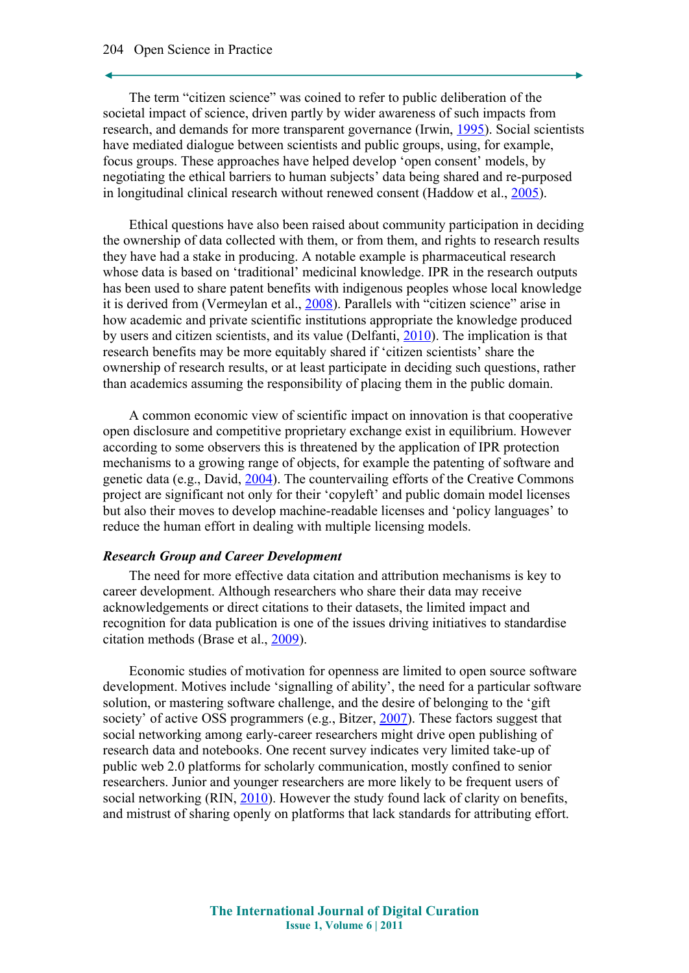### 204 Open Science in Practice

The term "citizen science" was coined to refer to public deliberation of the societal impact of science, driven partly by wider awareness of such impacts from research, and demands for more transparent governance (Irwin, [1995\)](#page-12-10). Social scientists have mediated dialogue between scientists and public groups, using, for example, focus groups. These approaches have helped develop 'open consent' models, by negotiating the ethical barriers to human subjects' data being shared and re-purposed in longitudinal clinical research without renewed consent (Haddow et al., [2005\)](#page-12-9).

Ethical questions have also been raised about community participation in deciding the ownership of data collected with them, or from them, and rights to research results they have had a stake in producing. A notable example is pharmaceutical research whose data is based on 'traditional' medicinal knowledge. IPR in the research outputs has been used to share patent benefits with indigenous peoples whose local knowledge it is derived from (Vermeylan et al., [2008\)](#page-14-4). Parallels with "citizen science" arise in how academic and private scientific institutions appropriate the knowledge produced by users and citizen scientists, and its value (Delfanti, [2010\)](#page-12-8). The implication is that research benefits may be more equitably shared if 'citizen scientists' share the ownership of research results, or at least participate in deciding such questions, rather than academics assuming the responsibility of placing them in the public domain.

A common economic view of scientific impact on innovation is that cooperative open disclosure and competitive proprietary exchange exist in equilibrium. However according to some observers this is threatened by the application of IPR protection mechanisms to a growing range of objects, for example the patenting of software and genetic data (e.g., David, [2004\)](#page-12-5). The countervailing efforts of the Creative Commons project are significant not only for their 'copyleft' and public domain model licenses but also their moves to develop machine-readable licenses and 'policy languages' to reduce the human effort in dealing with multiple licensing models.

### *Research Group and Career Development*

The need for more effective data citation and attribution mechanisms is key to career development. Although researchers who share their data may receive acknowledgements or direct citations to their datasets, the limited impact and recognition for data publication is one of the issues driving initiatives to standardise citation methods (Brase et al., [2009\)](#page-11-8).

Economic studies of motivation for openness are limited to open source software development. Motives include 'signalling of ability', the need for a particular software solution, or mastering software challenge, and the desire of belonging to the 'gift society' of active OSS programmers (e.g., Bitzer, [2007\)](#page-11-7). These factors suggest that social networking among early-career researchers might drive open publishing of research data and notebooks. One recent survey indicates very limited take-up of public web 2.0 platforms for scholarly communication, mostly confined to senior researchers. Junior and younger researchers are more likely to be frequent users of social networking (RIN, [2010\)](#page-13-8). However the study found lack of clarity on benefits, and mistrust of sharing openly on platforms that lack standards for attributing effort.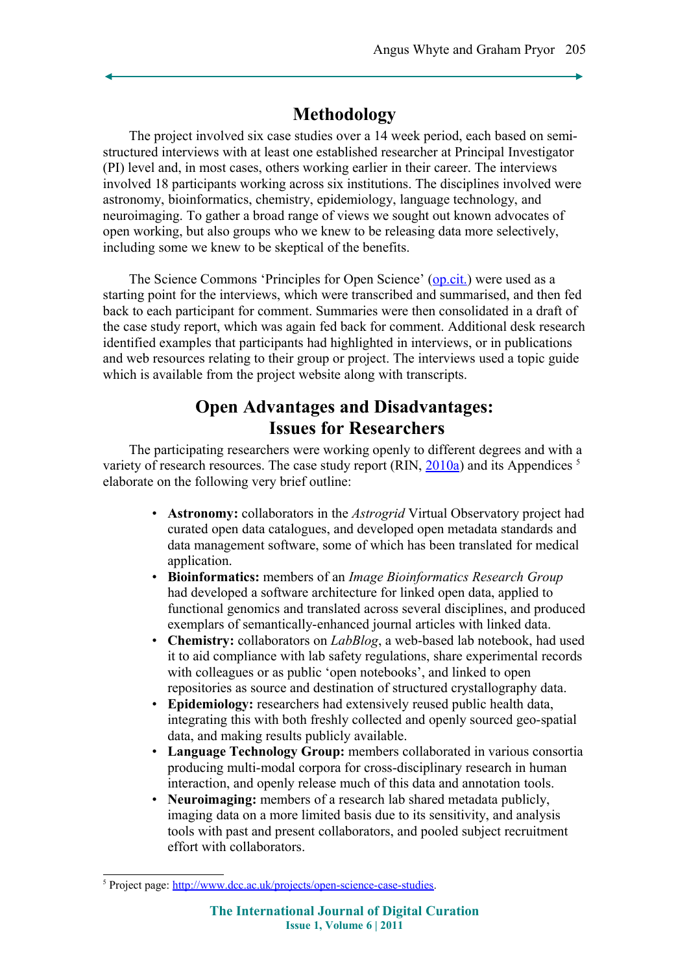## **Methodology**

The project involved six case studies over a 14 week period, each based on semistructured interviews with at least one established researcher at Principal Investigator (PI) level and, in most cases, others working earlier in their career. The interviews involved 18 participants working across six institutions. The disciplines involved were astronomy, bioinformatics, chemistry, epidemiology, language technology, and neuroimaging. To gather a broad range of views we sought out known advocates of open working, but also groups who we knew to be releasing data more selectively, including some we knew to be skeptical of the benefits.

The Science Commons 'Principles for Open Science' [\(op.cit.\)](#page-14-5) were used as a starting point for the interviews, which were transcribed and summarised, and then fed back to each participant for comment. Summaries were then consolidated in a draft of the case study report, which was again fed back for comment. Additional desk research identified examples that participants had highlighted in interviews, or in publications and web resources relating to their group or project. The interviews used a topic guide which is available from the project website along with transcripts.

## **Open Advantages and Disadvantages: Issues for Researchers**

The participating researchers were working openly to different degrees and with a variety of research resources. The case study report (RIN,  $\frac{2010a}{a}$ ) and its Appendices <sup>[5](#page-6-0)</sup> elaborate on the following very brief outline:

- **Astronomy:** collaborators in the *Astrogrid* Virtual Observatory project had curated open data catalogues, and developed open metadata standards and data management software, some of which has been translated for medical application.
- **Bioinformatics:** members of an *Image Bioinformatics Research Group* had developed a software architecture for linked open data, applied to functional genomics and translated across several disciplines, and produced exemplars of semantically-enhanced journal articles with linked data.
- **Chemistry:** collaborators on *LabBlog*, a web-based lab notebook, had used it to aid compliance with lab safety regulations, share experimental records with colleagues or as public 'open notebooks', and linked to open repositories as source and destination of structured crystallography data.
- **Epidemiology:** researchers had extensively reused public health data, integrating this with both freshly collected and openly sourced geo-spatial data, and making results publicly available.
- **Language Technology Group:** members collaborated in various consortia producing multi-modal corpora for cross-disciplinary research in human interaction, and openly release much of this data and annotation tools.
- **Neuroimaging:** members of a research lab shared metadata publicly, imaging data on a more limited basis due to its sensitivity, and analysis tools with past and present collaborators, and pooled subject recruitment effort with collaborators.

<span id="page-6-0"></span><sup>&</sup>lt;sup>5</sup> Project page: [http://www.dcc.ac.uk/projects/open-science-case-studies.](http://www.dcc.ac.uk/projects/open-science-case-studies)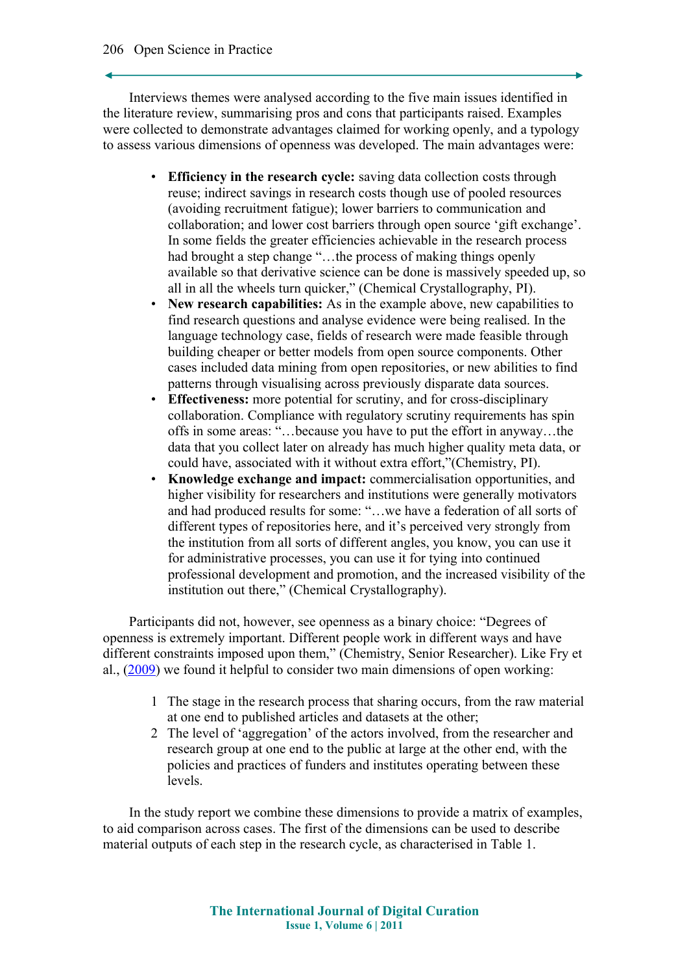Interviews themes were analysed according to the five main issues identified in the literature review, summarising pros and cons that participants raised. Examples were collected to demonstrate advantages claimed for working openly, and a typology to assess various dimensions of openness was developed. The main advantages were:

- **Efficiency in the research cycle:** saving data collection costs through reuse; indirect savings in research costs though use of pooled resources (avoiding recruitment fatigue); lower barriers to communication and collaboration; and lower cost barriers through open source 'gift exchange'. In some fields the greater efficiencies achievable in the research process had brought a step change "...the process of making things openly available so that derivative science can be done is massively speeded up, so all in all the wheels turn quicker," (Chemical Crystallography, PI).
- **New research capabilities:** As in the example above, new capabilities to find research questions and analyse evidence were being realised. In the language technology case, fields of research were made feasible through building cheaper or better models from open source components. Other cases included data mining from open repositories, or new abilities to find patterns through visualising across previously disparate data sources.
- **Effectiveness:** more potential for scrutiny, and for cross-disciplinary collaboration. Compliance with regulatory scrutiny requirements has spin offs in some areas: "…because you have to put the effort in anyway…the data that you collect later on already has much higher quality meta data, or could have, associated with it without extra effort,"(Chemistry, PI).
- **Knowledge exchange and impact:** commercialisation opportunities, and higher visibility for researchers and institutions were generally motivators and had produced results for some: "…we have a federation of all sorts of different types of repositories here, and it's perceived very strongly from the institution from all sorts of different angles, you know, you can use it for administrative processes, you can use it for tying into continued professional development and promotion, and the increased visibility of the institution out there," (Chemical Crystallography).

Participants did not, however, see openness as a binary choice: "Degrees of openness is extremely important. Different people work in different ways and have different constraints imposed upon them," (Chemistry, Senior Researcher). Like Fry et al., [\(2009\)](#page-12-4) we found it helpful to consider two main dimensions of open working:

- 1 The stage in the research process that sharing occurs, from the raw material at one end to published articles and datasets at the other;
- 2 The level of 'aggregation' of the actors involved, from the researcher and research group at one end to the public at large at the other end, with the policies and practices of funders and institutes operating between these levels.

In the study report we combine these dimensions to provide a matrix of examples, to aid comparison across cases. The first of the dimensions can be used to describe material outputs of each step in the research cycle, as characterised in Table 1.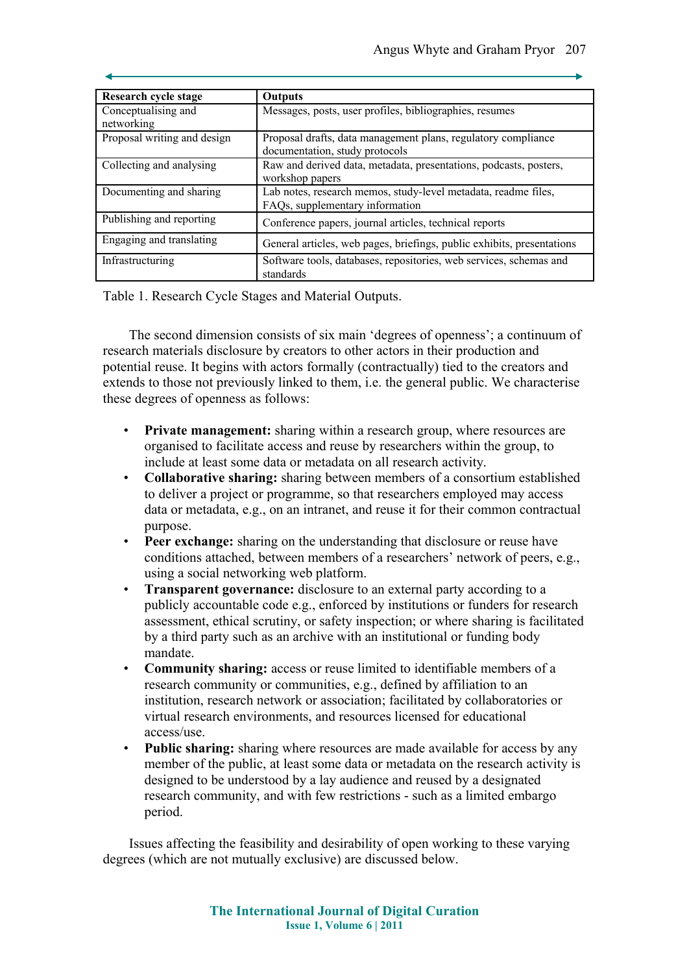| Research cycle stage        | Outputs                                                                |
|-----------------------------|------------------------------------------------------------------------|
| Conceptualising and         | Messages, posts, user profiles, bibliographies, resumes                |
| networking                  |                                                                        |
| Proposal writing and design | Proposal drafts, data management plans, regulatory compliance          |
|                             | documentation, study protocols                                         |
| Collecting and analysing    | Raw and derived data, metadata, presentations, podcasts, posters,      |
|                             | workshop papers                                                        |
| Documenting and sharing     | Lab notes, research memos, study-level metadata, readme files,         |
|                             | FAQs, supplementary information                                        |
| Publishing and reporting    | Conference papers, journal articles, technical reports                 |
| Engaging and translating    | General articles, web pages, briefings, public exhibits, presentations |
| Infrastructuring            | Software tools, databases, repositories, web services, schemas and     |
|                             | standards                                                              |

Table 1. Research Cycle Stages and Material Outputs.

The second dimension consists of six main 'degrees of openness'; a continuum of research materials disclosure by creators to other actors in their production and potential reuse. It begins with actors formally (contractually) tied to the creators and extends to those not previously linked to them, i.e. the general public. We characterise these degrees of openness as follows:

- **Private management:** sharing within a research group, where resources are organised to facilitate access and reuse by researchers within the group, to include at least some data or metadata on all research activity.
- **Collaborative sharing:** sharing between members of a consortium established to deliver a project or programme, so that researchers employed may access data or metadata, e.g., on an intranet, and reuse it for their common contractual purpose.
- **Peer exchange:** sharing on the understanding that disclosure or reuse have conditions attached, between members of a researchers' network of peers, e.g., using a social networking web platform.
- **Transparent governance:** disclosure to an external party according to a publicly accountable code e.g., enforced by institutions or funders for research assessment, ethical scrutiny, or safety inspection; or where sharing is facilitated by a third party such as an archive with an institutional or funding body mandate.
- **Community sharing:** access or reuse limited to identifiable members of a research community or communities, e.g., defined by affiliation to an institution, research network or association; facilitated by collaboratories or virtual research environments, and resources licensed for educational access/use.
- **Public sharing:** sharing where resources are made available for access by any member of the public, at least some data or metadata on the research activity is designed to be understood by a lay audience and reused by a designated research community, and with few restrictions - such as a limited embargo period.

Issues affecting the feasibility and desirability of open working to these varying degrees (which are not mutually exclusive) are discussed below.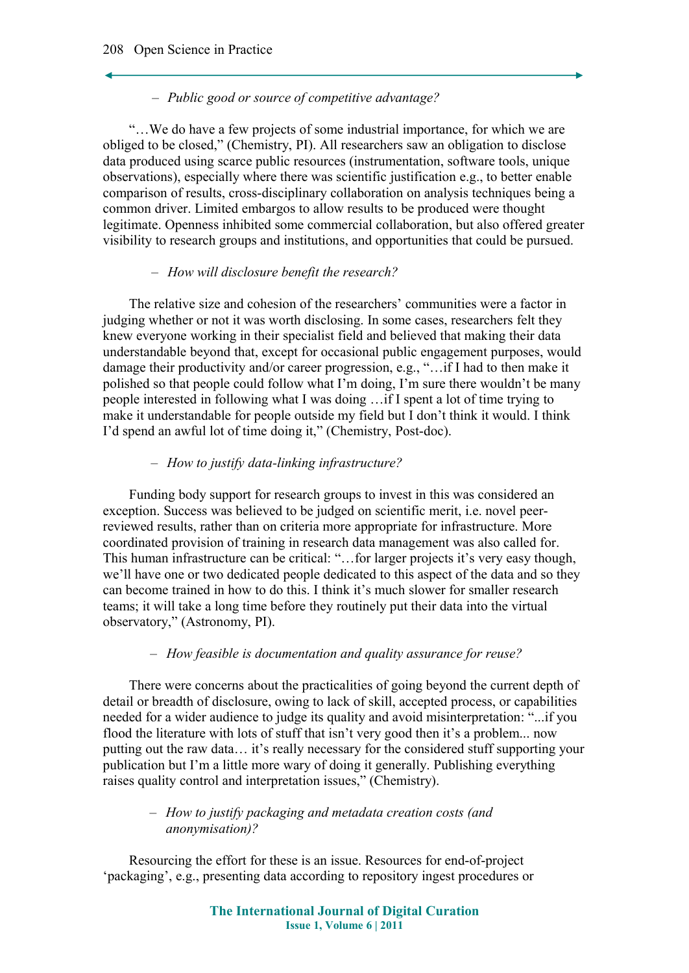### – *Public good or source of competitive advantage?*

"…We do have a few projects of some industrial importance, for which we are obliged to be closed," (Chemistry, PI). All researchers saw an obligation to disclose data produced using scarce public resources (instrumentation, software tools, unique observations), especially where there was scientific justification e.g., to better enable comparison of results, cross-disciplinary collaboration on analysis techniques being a common driver. Limited embargos to allow results to be produced were thought legitimate. Openness inhibited some commercial collaboration, but also offered greater visibility to research groups and institutions, and opportunities that could be pursued.

### – *How will disclosure benefit the research?*

The relative size and cohesion of the researchers' communities were a factor in judging whether or not it was worth disclosing. In some cases, researchers felt they knew everyone working in their specialist field and believed that making their data understandable beyond that, except for occasional public engagement purposes, would damage their productivity and/or career progression, e.g., "…if I had to then make it polished so that people could follow what I'm doing, I'm sure there wouldn't be many people interested in following what I was doing …if I spent a lot of time trying to make it understandable for people outside my field but I don't think it would. I think I'd spend an awful lot of time doing it," (Chemistry, Post-doc).

### – *How to justify data-linking infrastructure?*

Funding body support for research groups to invest in this was considered an exception. Success was believed to be judged on scientific merit, i.e. novel peerreviewed results, rather than on criteria more appropriate for infrastructure. More coordinated provision of training in research data management was also called for. This human infrastructure can be critical: "…for larger projects it's very easy though, we'll have one or two dedicated people dedicated to this aspect of the data and so they can become trained in how to do this. I think it's much slower for smaller research teams; it will take a long time before they routinely put their data into the virtual observatory," (Astronomy, PI).

### – *How feasible is documentation and quality assurance for reuse?*

There were concerns about the practicalities of going beyond the current depth of detail or breadth of disclosure, owing to lack of skill, accepted process, or capabilities needed for a wider audience to judge its quality and avoid misinterpretation: "...if you flood the literature with lots of stuff that isn't very good then it's a problem... now putting out the raw data… it's really necessary for the considered stuff supporting your publication but I'm a little more wary of doing it generally. Publishing everything raises quality control and interpretation issues," (Chemistry).

### – *How to justify packaging and metadata creation costs (and anonymisation)?*

Resourcing the effort for these is an issue. Resources for end-of-project 'packaging', e.g., presenting data according to repository ingest procedures or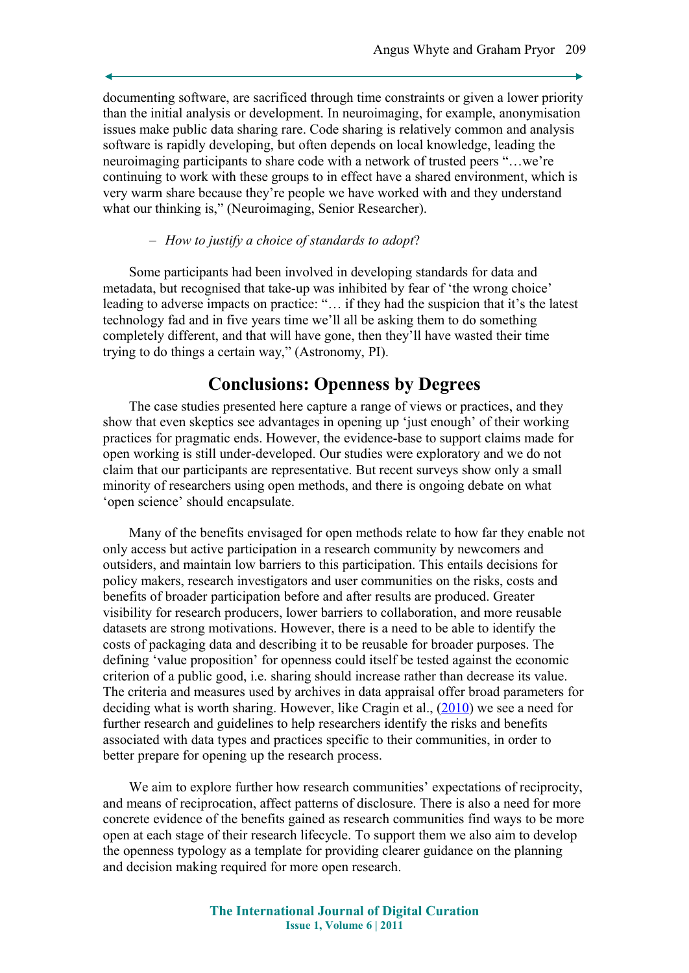documenting software, are sacrificed through time constraints or given a lower priority than the initial analysis or development. In neuroimaging, for example, anonymisation issues make public data sharing rare. Code sharing is relatively common and analysis software is rapidly developing, but often depends on local knowledge, leading the neuroimaging participants to share code with a network of trusted peers "…we're continuing to work with these groups to in effect have a shared environment, which is very warm share because they're people we have worked with and they understand what our thinking is," (Neuroimaging, Senior Researcher).

### – *How to justify a choice of standards to adopt*?

Some participants had been involved in developing standards for data and metadata, but recognised that take-up was inhibited by fear of 'the wrong choice' leading to adverse impacts on practice: "… if they had the suspicion that it's the latest technology fad and in five years time we'll all be asking them to do something completely different, and that will have gone, then they'll have wasted their time trying to do things a certain way," (Astronomy, PI).

### **Conclusions: Openness by Degrees**

The case studies presented here capture a range of views or practices, and they show that even skeptics see advantages in opening up 'just enough' of their working practices for pragmatic ends. However, the evidence-base to support claims made for open working is still under-developed. Our studies were exploratory and we do not claim that our participants are representative. But recent surveys show only a small minority of researchers using open methods, and there is ongoing debate on what 'open science' should encapsulate.

Many of the benefits envisaged for open methods relate to how far they enable not only access but active participation in a research community by newcomers and outsiders, and maintain low barriers to this participation. This entails decisions for policy makers, research investigators and user communities on the risks, costs and benefits of broader participation before and after results are produced. Greater visibility for research producers, lower barriers to collaboration, and more reusable datasets are strong motivations. However, there is a need to be able to identify the costs of packaging data and describing it to be reusable for broader purposes. The defining 'value proposition' for openness could itself be tested against the economic criterion of a public good, i.e. sharing should increase rather than decrease its value. The criteria and measures used by archives in data appraisal offer broad parameters for deciding what is worth sharing. However, like Cragin et al., [\(2010\)](#page-11-9) we see a need for further research and guidelines to help researchers identify the risks and benefits associated with data types and practices specific to their communities, in order to better prepare for opening up the research process.

We aim to explore further how research communities' expectations of reciprocity, and means of reciprocation, affect patterns of disclosure. There is also a need for more concrete evidence of the benefits gained as research communities find ways to be more open at each stage of their research lifecycle. To support them we also aim to develop the openness typology as a template for providing clearer guidance on the planning and decision making required for more open research.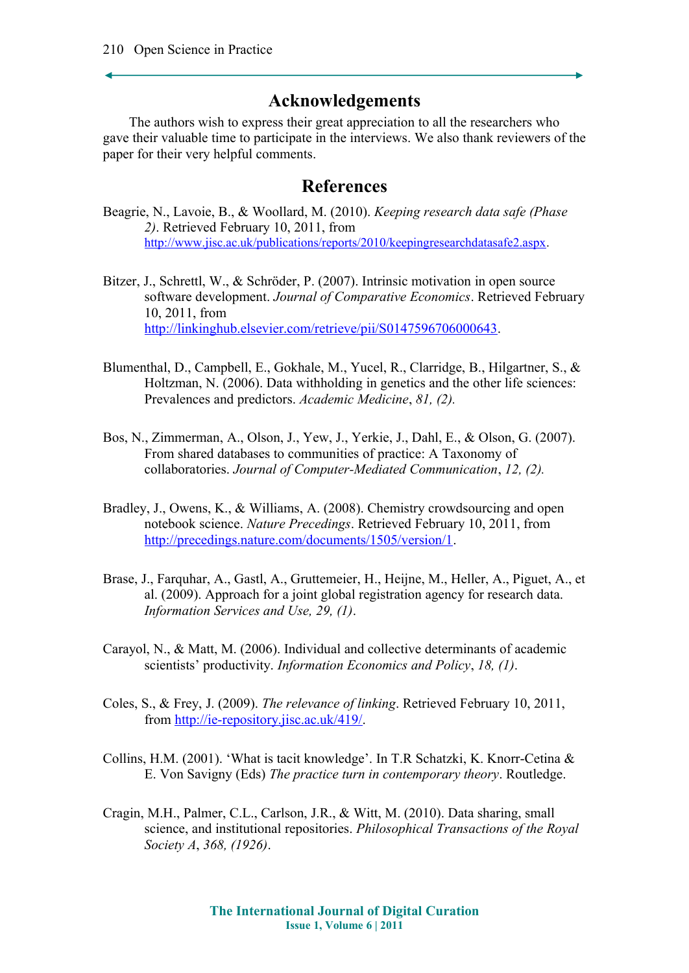## **Acknowledgements**

The authors wish to express their great appreciation to all the researchers who gave their valuable time to participate in the interviews. We also thank reviewers of the paper for their very helpful comments.

### **References**

- <span id="page-11-2"></span>Beagrie, N., Lavoie, B., & Woollard, M. (2010). *Keeping research data safe (Phase 2)*. Retrieved February 10, 2011, from [http://www.jisc.ac.uk/publications/reports/2010/keepingresearchdatasafe2.aspx.](http://www.jisc.ac.uk/publications/reports/2010/keepingresearchdatasafe2.aspx)
- <span id="page-11-7"></span>Bitzer, J., Schrettl, W., & Schröder, P. (2007). Intrinsic motivation in open source software development. *Journal of Comparative Economics*. Retrieved February 10, 2011, from [http://linkinghub.elsevier.com/retrieve/pii/S0147596706000643.](http://linkinghub.elsevier.com/retrieve/pii/S0147596706000643)
- <span id="page-11-5"></span>Blumenthal, D., Campbell, E., Gokhale, M., Yucel, R., Clarridge, B., Hilgartner, S., & Holtzman, N. (2006). Data withholding in genetics and the other life sciences: Prevalences and predictors. *Academic Medicine*, *81, (2).*
- <span id="page-11-4"></span>Bos, N., Zimmerman, A., Olson, J., Yew, J., Yerkie, J., Dahl, E., & Olson, G. (2007). From shared databases to communities of practice: A Taxonomy of collaboratories. *Journal of Computer-Mediated Communication*, *12, (2).*
- <span id="page-11-1"></span>Bradley, J., Owens, K., & Williams, A. (2008). Chemistry crowdsourcing and open notebook science. *Nature Precedings*. Retrieved February 10, 2011, from [http://precedings.nature.com/documents/1505/version/1.](http://precedings.nature.com/documents/1505/version/1)
- <span id="page-11-8"></span>Brase, J., Farquhar, A., Gastl, A., Gruttemeier, H., Heijne, M., Heller, A., Piguet, A., et al. (2009). Approach for a joint global registration agency for research data. *Information Services and Use, 29, (1)*.
- <span id="page-11-0"></span>Carayol, N., & Matt, M. (2006). Individual and collective determinants of academic scientists' productivity. *Information Economics and Policy*, *18, (1)*.
- <span id="page-11-6"></span>Coles, S., & Frey, J. (2009). *The relevance of linking*. Retrieved February 10, 2011, from [http://ie-repository.jisc.ac.uk/419/.](http://ie-repository.jisc.ac.uk/419/)
- <span id="page-11-3"></span>Collins, H.M. (2001). 'What is tacit knowledge'. In T.R Schatzki, K. Knorr-Cetina & E. Von Savigny (Eds) *The practice turn in contemporary theory*. Routledge.
- <span id="page-11-9"></span>Cragin, M.H., Palmer, C.L., Carlson, J.R., & Witt, M. (2010). Data sharing, small science, and institutional repositories. *Philosophical Transactions of the Royal Society A*, *368, (1926)*.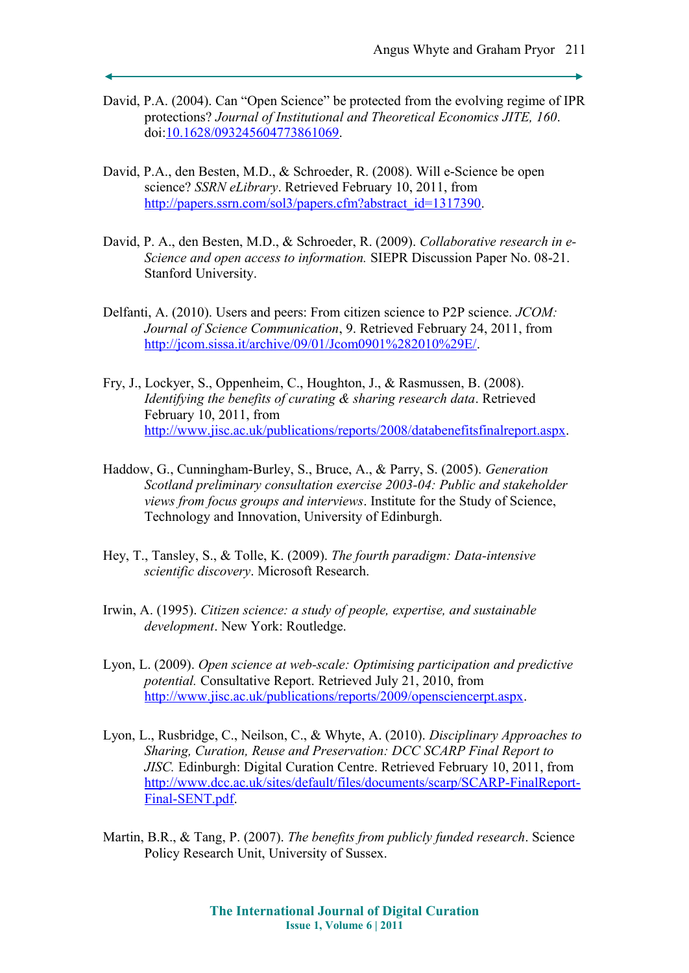- <span id="page-12-5"></span>David, P.A. (2004). Can "Open Science" be protected from the evolving regime of IPR protections? *Journal of Institutional and Theoretical Economics JITE, 160*. doi[:10.1628/093245604773861069.](http://dx.doi.org/10.1628/093245604773861069)
- <span id="page-12-2"></span>David, P.A., den Besten, M.D., & Schroeder, R. (2008). Will e-Science be open science? *SSRN eLibrary*. Retrieved February 10, 2011, from [http://papers.ssrn.com/sol3/papers.cfm?abstract\\_id=1317390.](http://papers.ssrn.com/sol3/papers.cfm?abstract_id=1317390)
- <span id="page-12-1"></span>David, P. A., den Besten, M.D., & Schroeder, R. (2009). *Collaborative research in e-Science and open access to information.* SIEPR Discussion Paper No. 08-21. Stanford University.
- <span id="page-12-8"></span>Delfanti, A. (2010). Users and peers: From citizen science to P2P science. *JCOM: Journal of Science Communication*, 9. Retrieved February 24, 2011, from [http://jcom.sissa.it/archive/09/01/Jcom0901%282010%29E/.](http://jcom.sissa.it/archive/09/01/Jcom0901(2010)E/)
- <span id="page-12-4"></span>Fry, J., Lockyer, S., Oppenheim, C., Houghton, J., & Rasmussen, B. (2008). *Identifying the benefits of curating & sharing research data*. Retrieved February 10, 2011, from [http://www.jisc.ac.uk/publications/reports/2008/databenefitsfinalreport.aspx.](http://www.jisc.ac.uk/publications/reports/2008/databenefitsfinalreport.aspx)
- <span id="page-12-9"></span>Haddow, G., Cunningham-Burley, S., Bruce, A., & Parry, S. (2005). *Generation Scotland preliminary consultation exercise 2003-04: Public and stakeholder views from focus groups and interviews*. Institute for the Study of Science, Technology and Innovation, University of Edinburgh.
- <span id="page-12-7"></span>Hey, T., Tansley, S., & Tolle, K. (2009). *The fourth paradigm: Data-intensive scientific discovery*. Microsoft Research.
- <span id="page-12-10"></span>Irwin, A. (1995). *Citizen science: a study of people, expertise, and sustainable development*. New York: Routledge.
- <span id="page-12-0"></span>Lyon, L. (2009). *Open science at web-scale: Optimising participation and predictive potential.* Consultative Report. Retrieved July 21, 2010, from [http://www.jisc.ac.uk/publications/reports/2009/opensciencerpt.aspx.](http://www.jisc.ac.uk/publications/reports/2009/opensciencerpt.aspx)
- <span id="page-12-3"></span>Lyon, L., Rusbridge, C., Neilson, C., & Whyte, A. (2010). *Disciplinary Approaches to Sharing, Curation, Reuse and Preservation: DCC SCARP Final Report to JISC.* Edinburgh: Digital Curation Centre. Retrieved February 10, 2011, from [http://www.dcc.ac.uk/sites/default/files/documents/scarp/SCARP-FinalReport-](http://www.dcc.ac.uk/sites/default/files/documents/scarp/SCARP-FinalReport-Final-SENT.pdf)[Final-SENT.pdf.](http://www.dcc.ac.uk/sites/default/files/documents/scarp/SCARP-FinalReport-Final-SENT.pdf)
- <span id="page-12-6"></span>Martin, B.R., & Tang, P. (2007). *The benefits from publicly funded research*. Science Policy Research Unit, University of Sussex.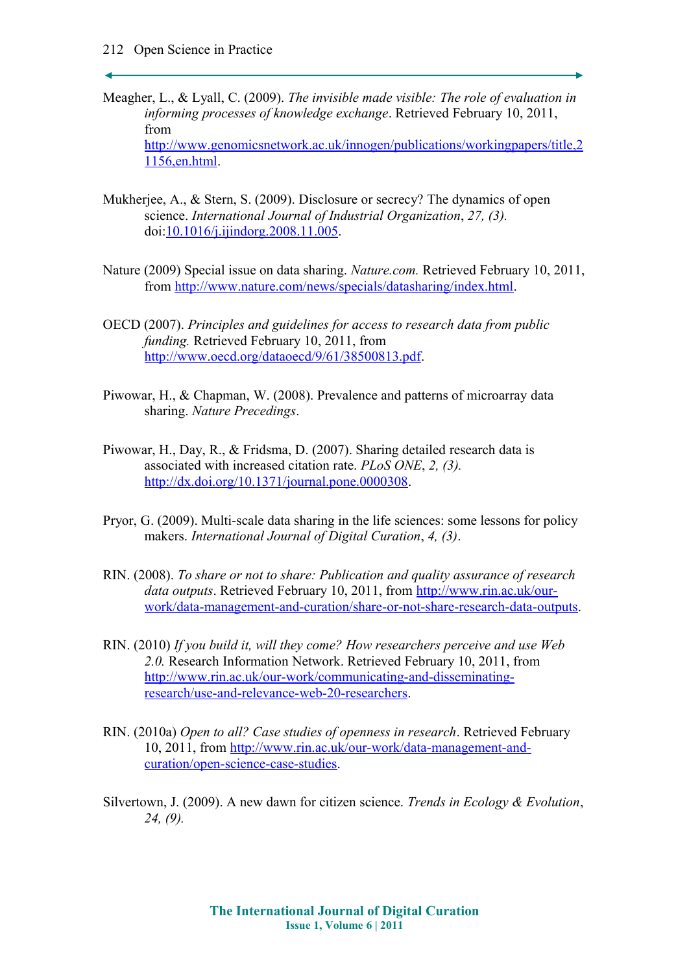- Meagher, L., & Lyall, C. (2009). *The invisible made visible: The role of evaluation in informing processes of knowledge exchange*. Retrieved February 10, 2011, from [http://www.genomicsnetwork.ac.uk/innogen/publications/workingpapers/title,2](http://www.genomicsnetwork.ac.uk/innogen/publications/workingpapers/title,21156,en.html) [1156,en.html.](http://www.genomicsnetwork.ac.uk/innogen/publications/workingpapers/title,21156,en.html)
- <span id="page-13-3"></span>Mukherjee, A., & Stern, S. (2009). Disclosure or secrecy? The dynamics of open science. *International Journal of Industrial Organization*, *27, (3).* doi[:10.1016/j.ijindorg.2008.11.005.](http://dx.doi.org/10.1016/j.ijindorg.2008.11.005)
- <span id="page-13-1"></span>Nature (2009) Special issue on data sharing. *Nature.com.* Retrieved February 10, 2011, from [http://www.nature.com/news/specials/datasharing/index.html.](http://www.nature.com/news/specials/datasharing/index.html)
- <span id="page-13-0"></span>OECD (2007). *Principles and guidelines for access to research data from public funding.* Retrieved February 10, 2011, from [http://www.oecd.org/dataoecd/9/61/38500813.pdf.](http://www.oecd.org/dataoecd/9/61/38500813.pdf)
- <span id="page-13-5"></span>Piwowar, H., & Chapman, W. (2008). Prevalence and patterns of microarray data sharing. *Nature Precedings*.
- <span id="page-13-6"></span>Piwowar, H., Day, R., & Fridsma, D. (2007). Sharing detailed research data is associated with increased citation rate. *PLoS ONE*, *2, (3).* [http://dx.doi.org/10.1371/journal.pone.0000308.](http://dx.doi.org/10.1371/journal.pone.0000308)
- <span id="page-13-4"></span>Pryor, G. (2009). Multi-scale data sharing in the life sciences: some lessons for policy makers. *International Journal of Digital Curation*, *4, (3)*.
- <span id="page-13-7"></span>RIN. (2008). *To share or not to share: Publication and quality assurance of research data outputs*. Retrieved February 10, 2011, from [http://www.rin.ac.uk/our](http://www.rin.ac.uk/our-work/data-management-and-curation/share-or-not-share-research-data-outputs)[work/data-management-and-curation/share-or-not-share-research-data-outputs.](http://www.rin.ac.uk/our-work/data-management-and-curation/share-or-not-share-research-data-outputs)
- <span id="page-13-8"></span>RIN. (2010) *If you build it, will they come? How researchers perceive and use Web 2.0.* Research Information Network. Retrieved February 10, 2011, from [http://www.rin.ac.uk/our-work/communicating-and-disseminating](http://www.rin.ac.uk/our-work/communicating-and-disseminating-research/use-and-relevance-web-20-researchers)[research/use-and-relevance-web-20-researchers.](http://www.rin.ac.uk/our-work/communicating-and-disseminating-research/use-and-relevance-web-20-researchers)
- <span id="page-13-9"></span>RIN. (2010a) *Open to all? Case studies of openness in research*. Retrieved February 10, 2011, from [http://www.rin.ac.uk/our-work/data-management-and](http://www.rin.ac.uk/our-work/data-management-and-curation/open-science-case-studies)[curation/open-science-case-studies.](http://www.rin.ac.uk/our-work/data-management-and-curation/open-science-case-studies)
- <span id="page-13-2"></span>Silvertown, J. (2009). A new dawn for citizen science. *Trends in Ecology & Evolution*, *24, (9).*